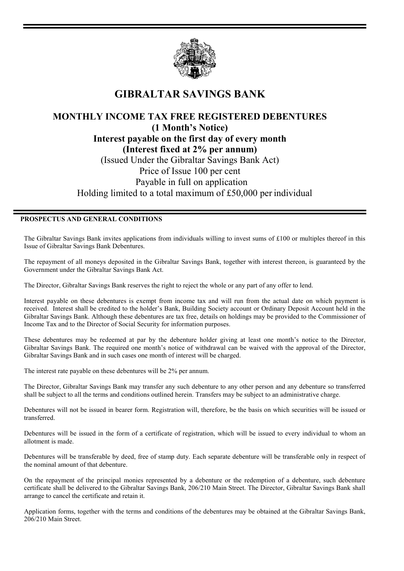

## **GIBRALTAR SAVINGS BANK**

## **MONTHLY INCOME TAX FREE REGISTERED DEBENTURES (1 Month's Notice) Interest payable on the first day of every month (Interest fixed at 2% per annum)**  (Issued Under the Gibraltar Savings Bank Act) Price of Issue 100 per cent Payable in full on application Holding limited to a total maximum of £50,000 per individual

## **PROSPECTUS AND GENERAL CONDITIONS**

The Gibraltar Savings Bank invites applications from individuals willing to invest sums of £100 or multiples thereof in this Issue of Gibraltar Savings Bank Debentures.

The repayment of all moneys deposited in the Gibraltar Savings Bank, together with interest thereon, is guaranteed by the Government under the Gibraltar Savings Bank Act.

The Director, Gibraltar Savings Bank reserves the right to reject the whole or any part of any offer to lend.

Interest payable on these debentures is exempt from income tax and will run from the actual date on which payment is received. Interest shall be credited to the holder's Bank, Building Society account or Ordinary Deposit Account held in the Gibraltar Savings Bank. Although these debentures are tax free, details on holdings may be provided to the Commissioner of Income Tax and to the Director of Social Security for information purposes.

These debentures may be redeemed at par by the debenture holder giving at least one month's notice to the Director, Gibraltar Savings Bank. The required one month's notice of withdrawal can be waived with the approval of the Director, Gibraltar Savings Bank and in such cases one month of interest will be charged.

The interest rate payable on these debentures will be 2% per annum.

The Director, Gibraltar Savings Bank may transfer any such debenture to any other person and any debenture so transferred shall be subject to all the terms and conditions outlined herein. Transfers may be subject to an administrative charge.

Debentures will not be issued in bearer form. Registration will, therefore, be the basis on which securities will be issued or transferred.

Debentures will be issued in the form of a certificate of registration, which will be issued to every individual to whom an allotment is made.

Debentures will be transferable by deed, free of stamp duty. Each separate debenture will be transferable only in respect of the nominal amount of that debenture.

On the repayment of the principal monies represented by a debenture or the redemption of a debenture, such debenture certificate shall be delivered to the Gibraltar Savings Bank, 206/210 Main Street. The Director, Gibraltar Savings Bank shall arrange to cancel the certificate and retain it.

Application forms, together with the terms and conditions of the debentures may be obtained at the Gibraltar Savings Bank, 206/210 Main Street.